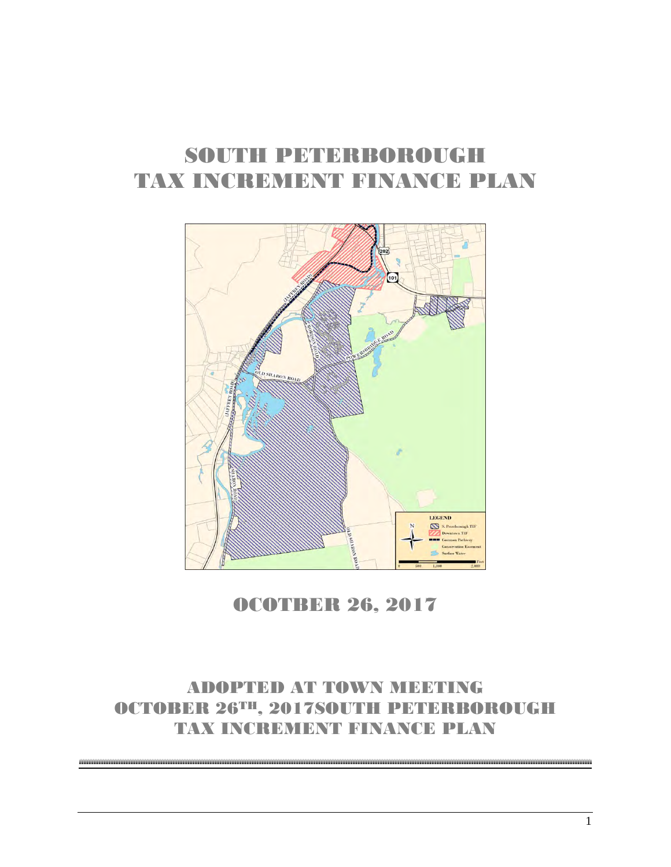## SOUTH PETERBOROUGH TAX INCREMENT FINANCE PLAN



OCOTBER 26, 2017

### ADOPTED AT TOWN MEETING OCTOBER 26TH, 2017SOUTH PETERBOROUGH TAX INCREAD IN THE RENANCED PLAN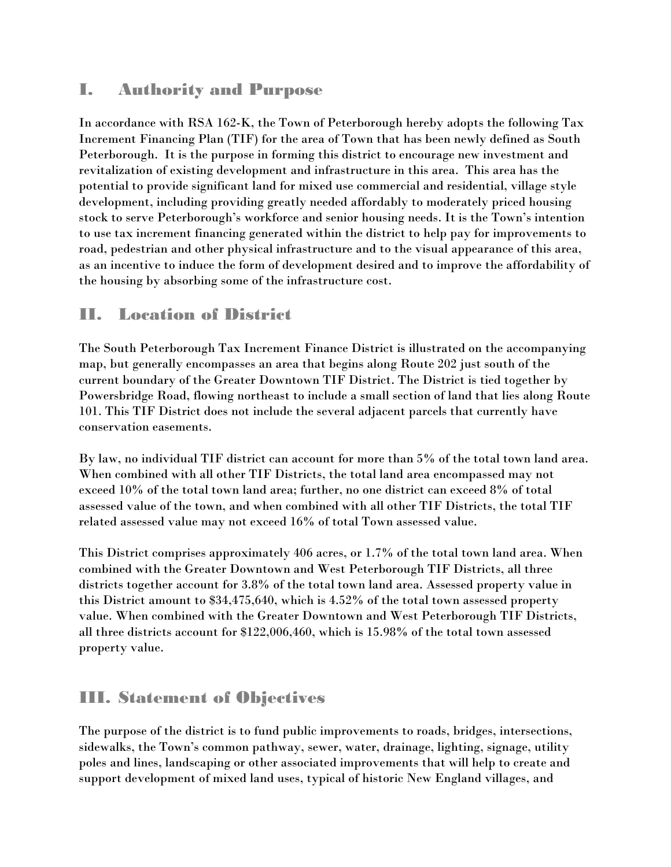#### I. Authority and Purpose

In accordance with RSA 162-K, the Town of Peterborough hereby adopts the following Tax Increment Financing Plan (TIF) for the area of Town that has been newly defined as South Peterborough. It is the purpose in forming this district to encourage new investment and revitalization of existing development and infrastructure in this area. This area has the potential to provide significant land for mixed use commercial and residential, village style development, including providing greatly needed affordably to moderately priced housing stock to serve Peterborough's workforce and senior housing needs. It is the Town's intention to use tax increment financing generated within the district to help pay for improvements to road, pedestrian and other physical infrastructure and to the visual appearance of this area, as an incentive to induce the form of development desired and to improve the affordability of the housing by absorbing some of the infrastructure cost.

#### II. Location of District

The South Peterborough Tax Increment Finance District is illustrated on the accompanying map, but generally encompasses an area that begins along Route 202 just south of the current boundary of the Greater Downtown TIF District. The District is tied together by Powersbridge Road, flowing northeast to include a small section of land that lies along Route 101. This TIF District does not include the several adjacent parcels that currently have conservation easements.

By law, no individual TIF district can account for more than 5% of the total town land area. When combined with all other TIF Districts, the total land area encompassed may not exceed 10% of the total town land area; further, no one district can exceed 8% of total assessed value of the town, and when combined with all other TIF Districts, the total TIF related assessed value may not exceed 16% of total Town assessed value.

This District comprises approximately 406 acres, or 1.7% of the total town land area. When combined with the Greater Downtown and West Peterborough TIF Districts, all three districts together account for 3.8% of the total town land area. Assessed property value in this District amount to \$34,475,640, which is 4.52% of the total town assessed property value. When combined with the Greater Downtown and West Peterborough TIF Districts, all three districts account for \$122,006,460, which is 15.98% of the total town assessed property value.

#### III. Statement of Objectives

The purpose of the district is to fund public improvements to roads, bridges, intersections, sidewalks, the Town's common pathway, sewer, water, drainage, lighting, signage, utility poles and lines, landscaping or other associated improvements that will help to create and support development of mixed land uses, typical of historic New England villages, and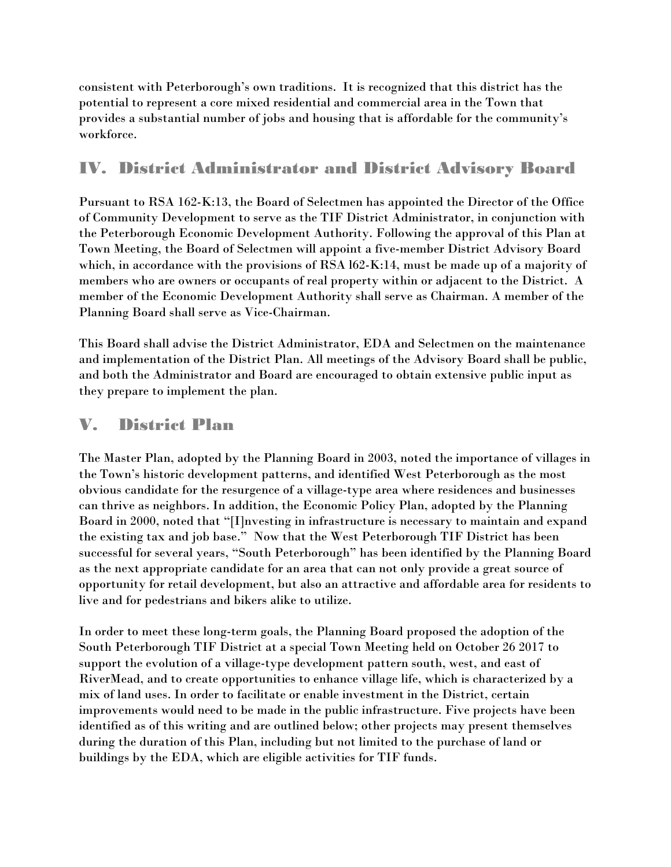consistent with Peterborough's own traditions. It is recognized that this district has the potential to represent a core mixed residential and commercial area in the Town that provides a substantial number of jobs and housing that is affordable for the community's workforce.

#### IV. District Administrator and District Advisory Board

Pursuant to RSA 162-K:13, the Board of Selectmen has appointed the Director of the Office of Community Development to serve as the TIF District Administrator, in conjunction with the Peterborough Economic Development Authority. Following the approval of this Plan at Town Meeting, the Board of Selectmen will appoint a five-member District Advisory Board which, in accordance with the provisions of RSA l62-K:14, must be made up of a majority of members who are owners or occupants of real property within or adjacent to the District. A member of the Economic Development Authority shall serve as Chairman. A member of the Planning Board shall serve as Vice-Chairman.

This Board shall advise the District Administrator, EDA and Selectmen on the maintenance and implementation of the District Plan. All meetings of the Advisory Board shall be public, and both the Administrator and Board are encouraged to obtain extensive public input as they prepare to implement the plan.

#### V. District Plan

The Master Plan, adopted by the Planning Board in 2003, noted the importance of villages in the Town's historic development patterns, and identified West Peterborough as the most obvious candidate for the resurgence of a village-type area where residences and businesses can thrive as neighbors. In addition, the Economic Policy Plan, adopted by the Planning Board in 2000, noted that "[I]nvesting in infrastructure is necessary to maintain and expand the existing tax and job base." Now that the West Peterborough TIF District has been successful for several years, "South Peterborough" has been identified by the Planning Board as the next appropriate candidate for an area that can not only provide a great source of opportunity for retail development, but also an attractive and affordable area for residents to live and for pedestrians and bikers alike to utilize.

In order to meet these long-term goals, the Planning Board proposed the adoption of the South Peterborough TIF District at a special Town Meeting held on October 26 2017 to support the evolution of a village-type development pattern south, west, and east of RiverMead, and to create opportunities to enhance village life, which is characterized by a mix of land uses. In order to facilitate or enable investment in the District, certain improvements would need to be made in the public infrastructure. Five projects have been identified as of this writing and are outlined below; other projects may present themselves during the duration of this Plan, including but not limited to the purchase of land or buildings by the EDA, which are eligible activities for TIF funds.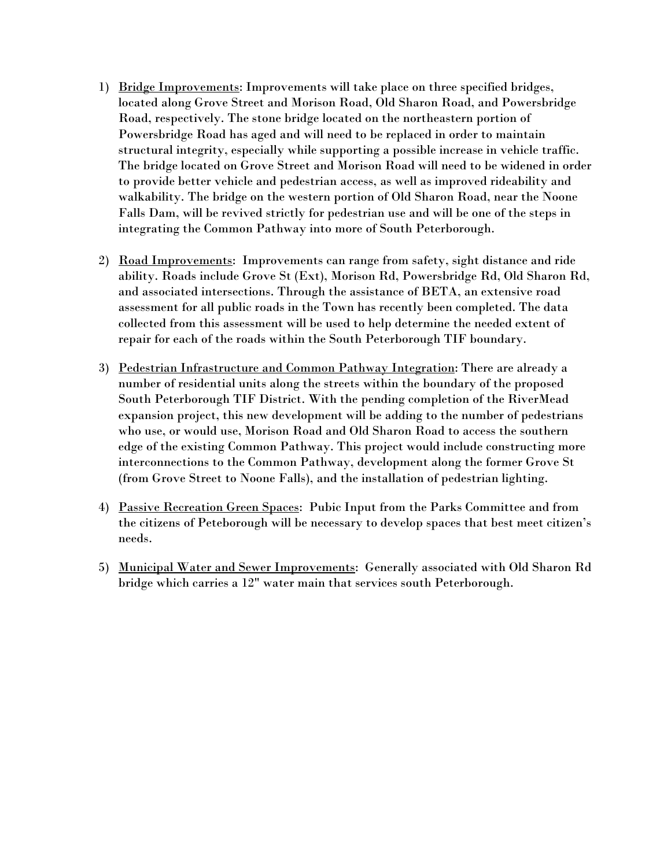- 1) Bridge Improvements: Improvements will take place on three specified bridges, located along Grove Street and Morison Road, Old Sharon Road, and Powersbridge Road, respectively. The stone bridge located on the northeastern portion of Powersbridge Road has aged and will need to be replaced in order to maintain structural integrity, especially while supporting a possible increase in vehicle traffic. The bridge located on Grove Street and Morison Road will need to be widened in order to provide better vehicle and pedestrian access, as well as improved rideability and walkability. The bridge on the western portion of Old Sharon Road, near the Noone Falls Dam, will be revived strictly for pedestrian use and will be one of the steps in integrating the Common Pathway into more of South Peterborough.
- 2) Road Improvements: Improvements can range from safety, sight distance and ride ability. Roads include Grove St (Ext), Morison Rd, Powersbridge Rd, Old Sharon Rd, and associated intersections. Through the assistance of BETA, an extensive road assessment for all public roads in the Town has recently been completed. The data collected from this assessment will be used to help determine the needed extent of repair for each of the roads within the South Peterborough TIF boundary.
- 3) Pedestrian Infrastructure and Common Pathway Integration: There are already a number of residential units along the streets within the boundary of the proposed South Peterborough TIF District. With the pending completion of the RiverMead expansion project, this new development will be adding to the number of pedestrians who use, or would use, Morison Road and Old Sharon Road to access the southern edge of the existing Common Pathway. This project would include constructing more interconnections to the Common Pathway, development along the former Grove St (from Grove Street to Noone Falls), and the installation of pedestrian lighting.
- 4) Passive Recreation Green Spaces: Pubic Input from the Parks Committee and from the citizens of Peteborough will be necessary to develop spaces that best meet citizen's needs.
- 5) Municipal Water and Sewer Improvements: Generally associated with Old Sharon Rd bridge which carries a 12" water main that services south Peterborough.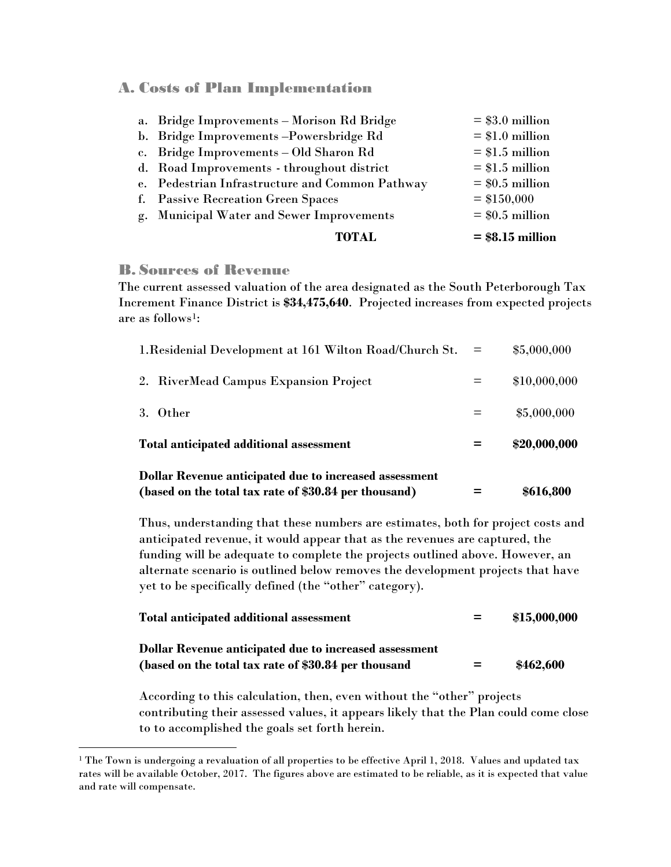A. Costs of Plan Implementation

| <b>TOTAL</b>                                    | $=$ \$8.15 million |
|-------------------------------------------------|--------------------|
| g. Municipal Water and Sewer Improvements       | $=$ \$0.5 million  |
| f. Passive Recreation Green Spaces              | $=$ \$150,000      |
| e. Pedestrian Infrastructure and Common Pathway | $=$ \$0.5 million  |
| d. Road Improvements - throughout district      | $= $1.5$ million   |
| c. Bridge Improvements - Old Sharon Rd          | $= $1.5$ million   |
| b. Bridge Improvements-Powersbridge Rd          | $= $1.0$ million   |
| a. Bridge Improvements - Morison Rd Bridge      | $= $3.0$ million   |

#### B. Sources of Revenue

 $\overline{a}$ 

The current assessed valuation of the area designated as the South Peterborough Tax Increment Finance District is **\$34,475,640**. Projected increases from expected projects are as follows<sup>1</sup>:

| <b>Dollar Revenue anticipated due to increased assessment</b><br>(based on the total tax rate of \$30.84 per thousand) |     | \$616,800    |
|------------------------------------------------------------------------------------------------------------------------|-----|--------------|
| Total anticipated additional assessment                                                                                | =   | \$20,000,000 |
| 3. Other                                                                                                               |     | \$5,000,000  |
| 2. RiverMead Campus Expansion Project                                                                                  |     | \$10,000,000 |
| 1. Residenial Development at 161 Wilton Road/Church St.                                                                | $=$ | \$5,000,000  |

Thus, understanding that these numbers are estimates, both for project costs and anticipated revenue, it would appear that as the revenues are captured, the funding will be adequate to complete the projects outlined above. However, an alternate scenario is outlined below removes the development projects that have yet to be specifically defined (the "other" category).

| Total anticipated additional assessment                | $=$ | \$15,000,000 |
|--------------------------------------------------------|-----|--------------|
| Dollar Revenue anticipated due to increased assessment |     |              |
| (based on the total tax rate of \$30.84 per thousand   | $=$ | \$462,600    |

According to this calculation, then, even without the "other" projects contributing their assessed values, it appears likely that the Plan could come close to to accomplished the goals set forth herein.

<span id="page-4-0"></span><sup>&</sup>lt;sup>1</sup> The Town is undergoing a revaluation of all properties to be effective April 1, 2018. Values and updated tax rates will be available October, 2017. The figures above are estimated to be reliable, as it is expected that value and rate will compensate.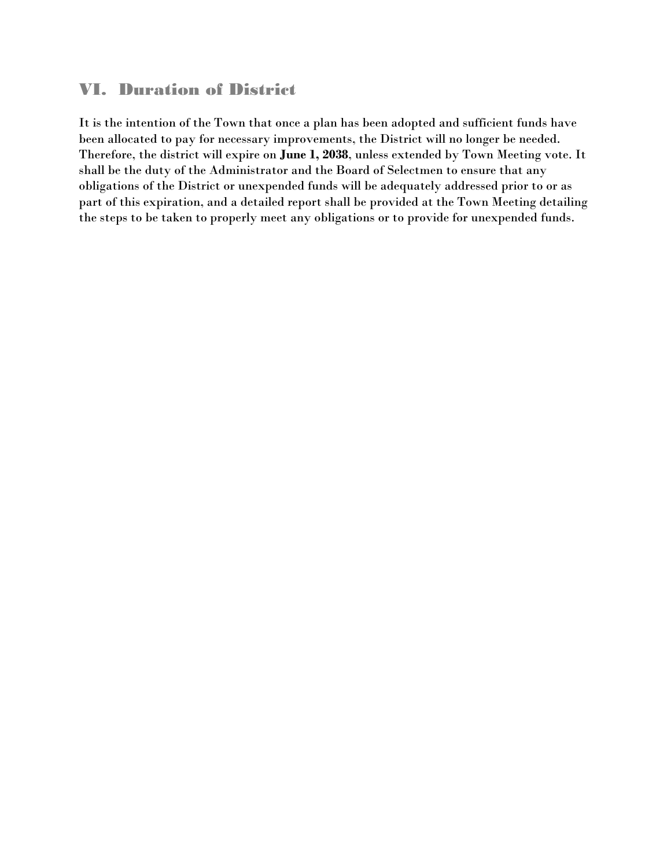#### VI. Duration of District

It is the intention of the Town that once a plan has been adopted and sufficient funds have been allocated to pay for necessary improvements, the District will no longer be needed. Therefore, the district will expire on **June 1, 2038**, unless extended by Town Meeting vote. It shall be the duty of the Administrator and the Board of Selectmen to ensure that any obligations of the District or unexpended funds will be adequately addressed prior to or as part of this expiration, and a detailed report shall be provided at the Town Meeting detailing the steps to be taken to properly meet any obligations or to provide for unexpended funds.